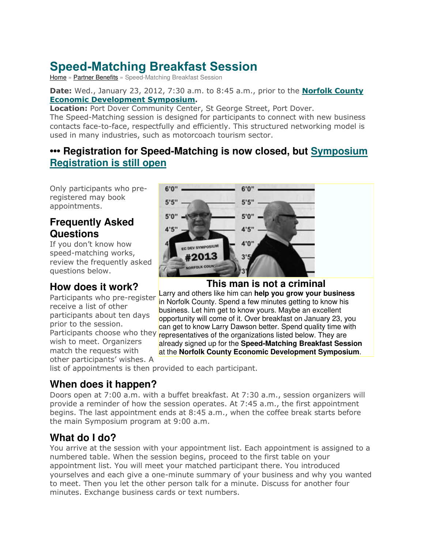# **Speed-Matching Breakfast Session**

[Home](http://www.norfolktourism.ca/) » [Partner Benefits](http://www.norfolktourism.ca/partner-benefits/) » Speed-Matching Breakfast Session

#### **Date:** Wed., January 23, 2012, 7:30 a.m. to 8:45 a.m., prior to the **[Norfolk County](http://www.norfolktourism.ca/partner-benefits/symposium/)  [Economic Development Symposium.](http://www.norfolktourism.ca/partner-benefits/symposium/)**

**Location:** Port Dover Community Center, St George Street, Port Dover.

The Speed-Matching session is designed for participants to connect with new business contacts face-to-face, respectfully and efficiently. This structured networking model is used in many industries, such as motorcoach tourism sector.

# **••• Registration for Speed-Matching is now closed, but [Symposium](http://www.surveymonkey.com/s/norfolksymposium13)  [Registration is still open](http://www.surveymonkey.com/s/norfolksymposium13)**

Only participants who preregistered may book appointments.

# **Frequently Asked Questions**

If you don't know how speed-matching works, review the frequently asked questions below.

# **How does it work?**

Participants who pre-register receive a list of other participants about ten days prior to the session. wish to meet. Organizers match the requests with other participants' wishes. A

list of appointments is then provided to each participant.

# **When does it happen?**

Doors open at 7:00 a.m. with a buffet breakfast. At 7:30 a.m., session organizers will provide a reminder of how the session operates. At 7:45 a.m., the first appointment begins. The last appointment ends at 8:45 a.m., when the coffee break starts before the main Symposium program at 9:00 a.m.

# **What do I do?**

You arrive at the session with your appointment list. Each appointment is assigned to a numbered table. When the session begins, proceed to the first table on your appointment list. You will meet your matched participant there. You introduced yourselves and each give a one-minute summary of your business and why you wanted to meet. Then you let the other person talk for a minute. Discuss for another four minutes. Exchange business cards or text numbers.



**This man is not a criminal** 

Participants choose who they representatives of the organizations listed below. They are Larry and others like him can **help you grow your business**  in Norfolk County. Spend a few minutes getting to know his business. Let him get to know yours. Maybe an excellent opportunity will come of it. Over breakfast on January 23, you can get to know Larry Dawson better. Spend quality time with already signed up for the **Speed-Matching Breakfast Session**  at the **Norfolk County Economic Development Symposium**.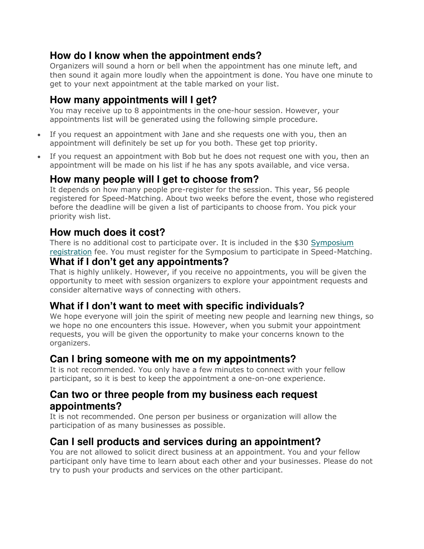#### **How do I know when the appointment ends?**

Organizers will sound a horn or bell when the appointment has one minute left, and then sound it again more loudly when the appointment is done. You have one minute to get to your next appointment at the table marked on your list.

# **How many appointments will I get?**

You may receive up to 8 appointments in the one-hour session. However, your appointments list will be generated using the following simple procedure.

- If you request an appointment with Jane and she requests one with you, then an appointment will definitely be set up for you both. These get top priority.
- If you request an appointment with Bob but he does not request one with you, then an appointment will be made on his list if he has any spots available, and vice versa.

# **How many people will I get to choose from?**

It depends on how many people pre-register for the session. This year, 56 people registered for Speed-Matching. About two weeks before the event, those who registered before the deadline will be given a list of participants to choose from. You pick your priority wish list.

# **How much does it cost?**

There is no additional cost to participate over. It is included in the \$30 [Symposium](http://www.surveymonkey.com/s/norfolksymposium13)  [registration](http://www.surveymonkey.com/s/norfolksymposium13) fee. You must register for the Symposium to participate in Speed-Matching.

#### **What if I don't get any appointments?**

That is highly unlikely. However, if you receive no appointments, you will be given the opportunity to meet with session organizers to explore your appointment requests and consider alternative ways of connecting with others.

#### **What if I don't want to meet with specific individuals?**

We hope everyone will join the spirit of meeting new people and learning new things, so we hope no one encounters this issue. However, when you submit your appointment requests, you will be given the opportunity to make your concerns known to the organizers.

#### **Can I bring someone with me on my appointments?**

It is not recommended. You only have a few minutes to connect with your fellow participant, so it is best to keep the appointment a one-on-one experience.

#### **Can two or three people from my business each request appointments?**

It is not recommended. One person per business or organization will allow the participation of as many businesses as possible.

# **Can I sell products and services during an appointment?**

You are not allowed to solicit direct business at an appointment. You and your fellow participant only have time to learn about each other and your businesses. Please do not try to push your products and services on the other participant.